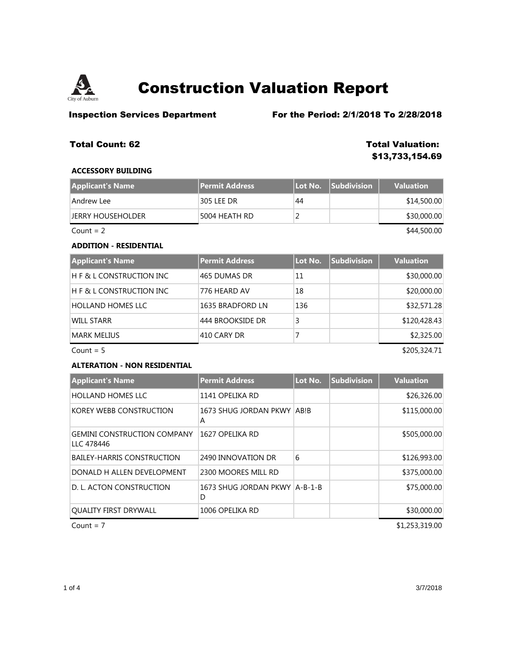

**Inspection Services Department** For the Period: 2/1/2018 To 2/28/2018

# **Total Count: 62 Total Valuation:**

**\$13,733,154.69**

### **ACCESSORY BUILDING**

| Applicant's Name  | <b>Permit Address</b> | Lot No. | <b>Subdivision</b> | <b>Valuation</b> |
|-------------------|-----------------------|---------|--------------------|------------------|
| Andrew Lee        | 305 LEE DR            | 44      |                    | \$14,500.00      |
| JERRY HOUSEHOLDER | 5004 HEATH RD         |         |                    | \$30,000.00      |
| $Count = 2$       |                       |         |                    | \$44,500.00      |

## **ADDITION - RESIDENTIAL**

| <b>Applicant's Name</b>            | Permit Address   | Lot No. | <b>Subdivision</b> | <b>Valuation</b> |
|------------------------------------|------------------|---------|--------------------|------------------|
| $\mathsf H$ F & L CONSTRUCTION INC | 465 DUMAS DR     | 11      |                    | \$30,000.00      |
| $H$ F & L CONSTRUCTION INC         | 776 HEARD AV     | 18      |                    | \$20,000.00      |
| <b>HOLLAND HOMES LLC</b>           | 1635 BRADFORD LN | 136     |                    | \$32,571.28      |
| WILL STARR                         | 444 BROOKSIDE DR | 3       |                    | \$120,428.43     |
| MARK MELIUS                        | 410 CARY DR      |         |                    | \$2,325.00       |

 $Count = 5$  \$205,324.71

### **ALTERATION - NON RESIDENTIAL**

| <b>Applicant's Name</b>                          | <b>Permit Address</b>                | Lot No. | <b>Subdivision</b> | <b>Valuation</b> |
|--------------------------------------------------|--------------------------------------|---------|--------------------|------------------|
| <b>HOLLAND HOMES LLC</b>                         | 1141 OPELIKA RD                      |         |                    | \$26,326.00      |
| KOREY WEBB CONSTRUCTION                          | 1673 SHUG JORDAN PKWY ABIB<br>A      |         |                    | \$115,000.00     |
| <b>GEMINI CONSTRUCTION COMPANY</b><br>LLC 478446 | 1627 OPELIKA RD                      |         |                    | \$505,000.00     |
| <b>BAILEY-HARRIS CONSTRUCTION</b>                | 2490 INNOVATION DR                   | 6       |                    | \$126,993.00     |
| DONALD H ALLEN DEVELOPMENT                       | 2300 MOORES MILL RD                  |         |                    | \$375,000.00     |
| D. L. ACTON CONSTRUCTION                         | 1673 SHUG JORDAN PKWY   A-B-1-B<br>D |         |                    | \$75,000.00      |
| <b>QUALITY FIRST DRYWALL</b>                     | 1006 OPELIKA RD                      |         |                    | \$30,000.00      |
| Count = $7$                                      |                                      |         |                    | \$1,253,319.00   |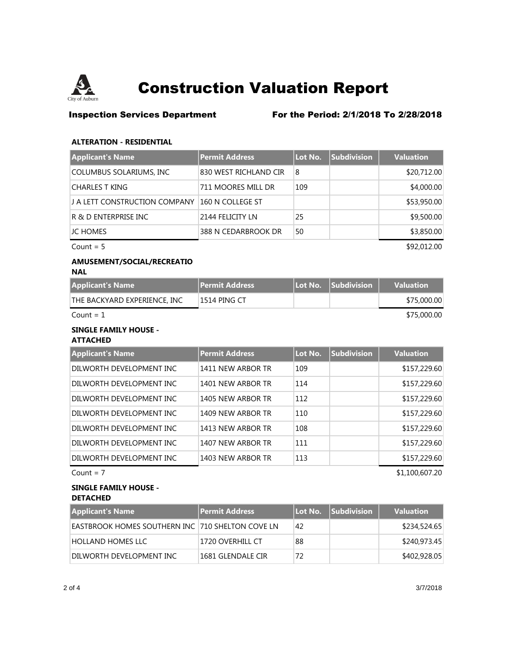

# **Inspection Services Department** For the Period: 2/1/2018 To 2/28/2018

### **ALTERATION - RESIDENTIAL**

| <b>Applicant's Name</b>       | <b>Permit Address</b> | Lot No. | <b>Subdivision</b> | <b>Valuation</b> |
|-------------------------------|-----------------------|---------|--------------------|------------------|
| COLUMBUS SOLARIUMS, INC       | 830 WEST RICHLAND CIR | 8       |                    | \$20,712.00      |
| <b>CHARLES T KING</b>         | 711 MOORES MILL DR    | 109     |                    | \$4,000.00       |
| J A LETT CONSTRUCTION COMPANY | 160 N COLLEGE ST      |         |                    | \$53,950.00      |
| R & D ENTERPRISE INC          | 2144 FELICITY LN      | 25      |                    | \$9,500.00       |
| JC HOMES                      | 388 N CEDARBROOK DR   | 50      |                    | \$3,850.00       |
| Count = $5$                   |                       |         |                    | \$92,012.00      |

### **AMUSEMENT/SOCIAL/RECREATIO NAL**

| <b>Applicant's Name</b>      | <b>Permit Address</b> | Lot No. Subdivision | <b>Valuation</b> |
|------------------------------|-----------------------|---------------------|------------------|
| THE BACKYARD EXPERIENCE. INC | 1514 PING CT          |                     | \$75,000.00      |
| Count = $1$                  |                       |                     | \$75,000.00      |

# **SINGLE FAMILY HOUSE -**

## **ATTACHED**

| <b>Applicant's Name</b>  | <b>Permit Address</b> | Lot No. | <b>Subdivision</b> | <b>Valuation</b> |
|--------------------------|-----------------------|---------|--------------------|------------------|
| DILWORTH DEVELOPMENT INC | 1411 NEW ARBOR TR     | 109     |                    | \$157,229.60     |
| DILWORTH DEVELOPMENT INC | 1401 NEW ARBOR TR     | 114     |                    | \$157,229.60     |
| DILWORTH DEVELOPMENT INC | 1405 NEW ARBOR TR     | 112     |                    | \$157,229.60     |
| DILWORTH DEVELOPMENT INC | 1409 NEW ARBOR TR     | 110     |                    | \$157,229.60     |
| DILWORTH DEVELOPMENT INC | 1413 NEW ARBOR TR     | 108     |                    | \$157,229.60     |
| DILWORTH DEVELOPMENT INC | 1407 NEW ARBOR TR     | 111     |                    | \$157,229.60     |
| DILWORTH DEVELOPMENT INC | 1403 NEW ARBOR TR     | 113     |                    | \$157,229.60     |
| Count = $7$              |                       |         |                    | \$1,100,607.20   |

### **SINGLE FAMILY HOUSE - DETACHED**

| <b>Applicant's Name</b>                          | <b>Permit Address</b> | Lot No. | $\sf I$ Subdivision $\sf I$ | <b>Valuation</b> |
|--------------------------------------------------|-----------------------|---------|-----------------------------|------------------|
| EASTBROOK HOMES SOUTHERN INC 710 SHELTON COVE LN |                       | 42      |                             | \$234,524.65     |
| <b>HOLLAND HOMES LLC</b>                         | '1720 OVERHILL CT     | 88      |                             | \$240,973.45     |
| DILWORTH DEVELOPMENT INC                         | 1681 GLENDALE CIR     | 72      |                             | \$402,928.05     |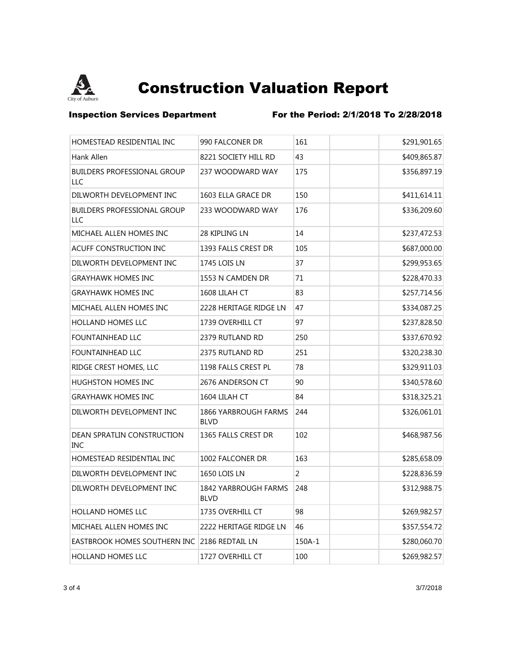

**Inspection Services Department** For the Period: 2/1/2018 To 2/28/2018

| HOMESTEAD RESIDENTIAL INC                 | 990 FALCONER DR                     | 161    | \$291,901.65 |
|-------------------------------------------|-------------------------------------|--------|--------------|
| Hank Allen                                | 8221 SOCIETY HILL RD                | 43     | \$409,865.87 |
| <b>BUILDERS PROFESSIONAL GROUP</b><br>LLC | 237 WOODWARD WAY                    | 175    | \$356,897.19 |
| DILWORTH DEVELOPMENT INC                  | 1603 ELLA GRACE DR                  | 150    | \$411,614.11 |
| <b>BUILDERS PROFESSIONAL GROUP</b><br>LLC | 233 WOODWARD WAY                    | 176    | \$336,209.60 |
| MICHAEL ALLEN HOMES INC                   | 28 KIPLING LN                       | 14     | \$237,472.53 |
| ACUFF CONSTRUCTION INC                    | 1393 FALLS CREST DR                 | 105    | \$687,000.00 |
| DILWORTH DEVELOPMENT INC                  | 1745 LOIS LN                        | 37     | \$299,953.65 |
| <b>GRAYHAWK HOMES INC</b>                 | 1553 N CAMDEN DR                    | 71     | \$228,470.33 |
| <b>GRAYHAWK HOMES INC</b>                 | 1608 LILAH CT                       | 83     | \$257,714.56 |
| MICHAEL ALLEN HOMES INC                   | 2228 HERITAGE RIDGE LN              | 47     | \$334,087.25 |
| <b>HOLLAND HOMES LLC</b>                  | 1739 OVERHILL CT                    | 97     | \$237,828.50 |
| FOUNTAINHEAD LLC                          | 2379 RUTLAND RD                     | 250    | \$337,670.92 |
| <b>FOUNTAINHEAD LLC</b>                   | 2375 RUTLAND RD                     | 251    | \$320,238.30 |
| RIDGE CREST HOMES, LLC                    | 1198 FALLS CREST PL                 | 78     | \$329,911.03 |
| <b>HUGHSTON HOMES INC</b>                 | 2676 ANDERSON CT                    | 90     | \$340,578.60 |
| <b>GRAYHAWK HOMES INC</b>                 | 1604 LILAH CT                       | 84     | \$318,325.21 |
| DILWORTH DEVELOPMENT INC                  | 1866 YARBROUGH FARMS<br><b>BLVD</b> | 244    | \$326,061.01 |
| DEAN SPRATLIN CONSTRUCTION<br><b>INC</b>  | 1365 FALLS CREST DR                 | 102    | \$468,987.56 |
| HOMESTEAD RESIDENTIAL INC                 | 1002 FALCONER DR                    | 163    | \$285,658.09 |
| DILWORTH DEVELOPMENT INC                  | <b>1650 LOIS LN</b>                 | 2      | \$228,836.59 |
| DILWORTH DEVELOPMENT INC                  | 1842 YARBROUGH FARMS<br><b>BLVD</b> | 248    | \$312,988.75 |
| HOLLAND HOMES LLC                         | 1735 OVERHILL CT                    | 98     | \$269,982.57 |
| MICHAEL ALLEN HOMES INC                   | 2222 HERITAGE RIDGE LN              | 46     | \$357,554.72 |
| EASTBROOK HOMES SOUTHERN INC              | 2186 REDTAIL LN                     | 150A-1 | \$280,060.70 |
| <b>HOLLAND HOMES LLC</b>                  | 1727 OVERHILL CT                    | 100    | \$269,982.57 |